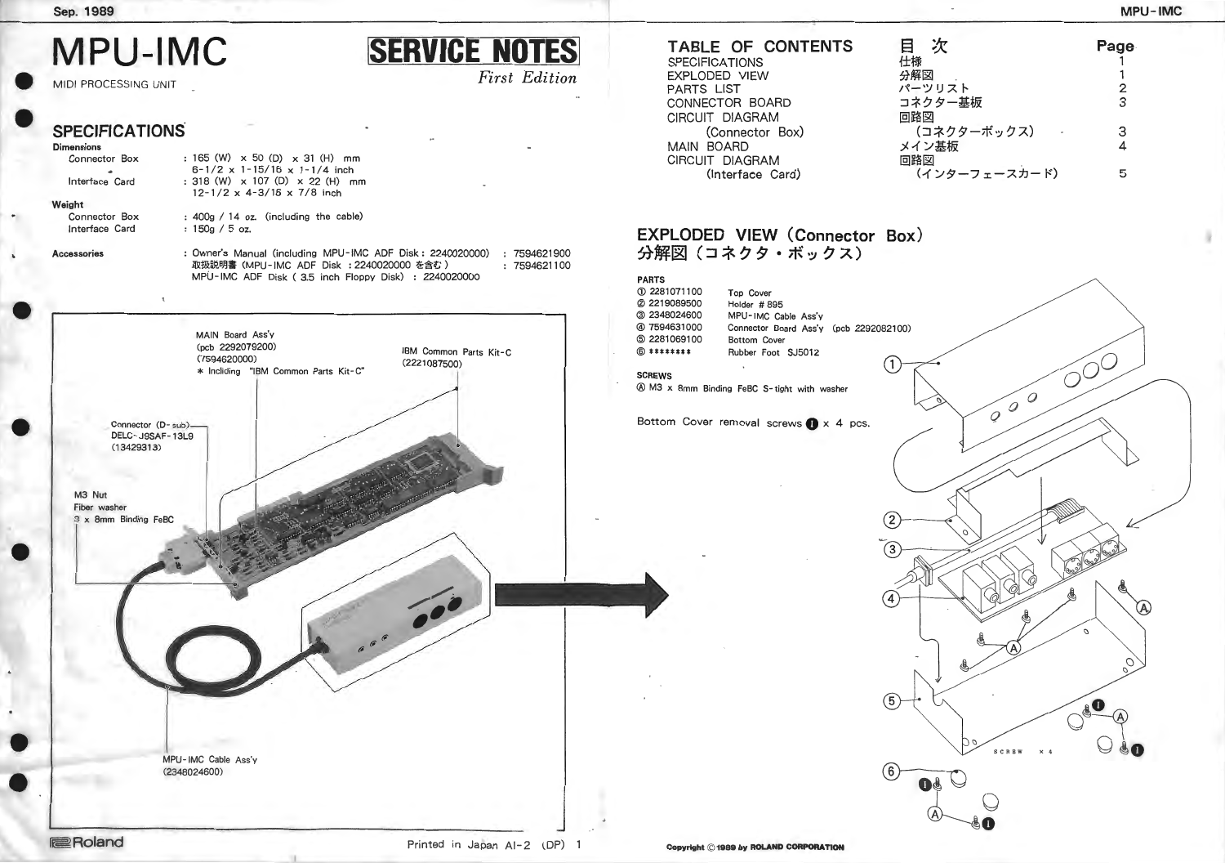-

-<br>•

-

-

-

•

#### **Sep. 1989**

# **MPU-IMC**

MIDI PROCESSING UNIT

# **SPECIFICATIONS**

165 (W) x 50 (D) x 31 (H) mm  $6-1/2 \times 1-15/16 \times 1-1/4$  inch : 318 (W) x 107 (D) x 22 (H) mm  $12-1/2 \times 4-3/16 \times 7/8$  inch

#### **Dimensions**

#### Connector Box ..

Interface Card

#### **Weight**

Connector Box Interface Card

: 400g / 14 oz. (including the cable) : 150g / 5 oz.

*First Edition* 

**Accessories** : Owner's Manual (including MPU-IMC ADF Disk: 2240020000) 取扱説明書 (MPU-IMC ADF Disk : 2240020000 を含む) 7594621900 7594621100 MPU- IMC ADF Disk ( 3.5 inch Floppy Disk) : 2240020000

**SERVICE NOTES** 

# **EXPLODED VIEW (Connector Box)**  分解図 (コネクタ・ボックス)



# **TABLE OF CONTENTS**

| ł:             |
|----------------|
| 5.             |
|                |
| $\overline{a}$ |
| Œ              |
|                |
| ر              |
| Œ              |
|                |
|                |

![](_page_0_Figure_21.jpeg)

| <b>PARTS</b><br>10 2281071100<br>2 2219089500<br>3 2348024600<br>47594631000<br><b>5 2281069100</b><br>$\circledcirc$ ******** | Top Cover<br>Holder #895<br>MPU-IMC Cable Ass'y<br>Connector Board Ass'y (pcb 2292082100)<br>Bottom Cover<br>Rubber Foot SJ5012 |                  |
|--------------------------------------------------------------------------------------------------------------------------------|---------------------------------------------------------------------------------------------------------------------------------|------------------|
| <b>SCREWS</b>                                                                                                                  | 4 M3 x 8mm Binding FeBC S-tight with washer                                                                                     | 1                |
|                                                                                                                                | Bottom Cover removal screws $\bigcirc x$ 4 pcs.                                                                                 |                  |
|                                                                                                                                |                                                                                                                                 |                  |
|                                                                                                                                |                                                                                                                                 |                  |
|                                                                                                                                |                                                                                                                                 | 3                |
|                                                                                                                                |                                                                                                                                 |                  |
|                                                                                                                                |                                                                                                                                 |                  |
|                                                                                                                                |                                                                                                                                 |                  |
|                                                                                                                                |                                                                                                                                 | $\left[6\right]$ |
|                                                                                                                                |                                                                                                                                 |                  |

![](_page_0_Figure_20.jpeg)

![](_page_0_Figure_22.jpeg)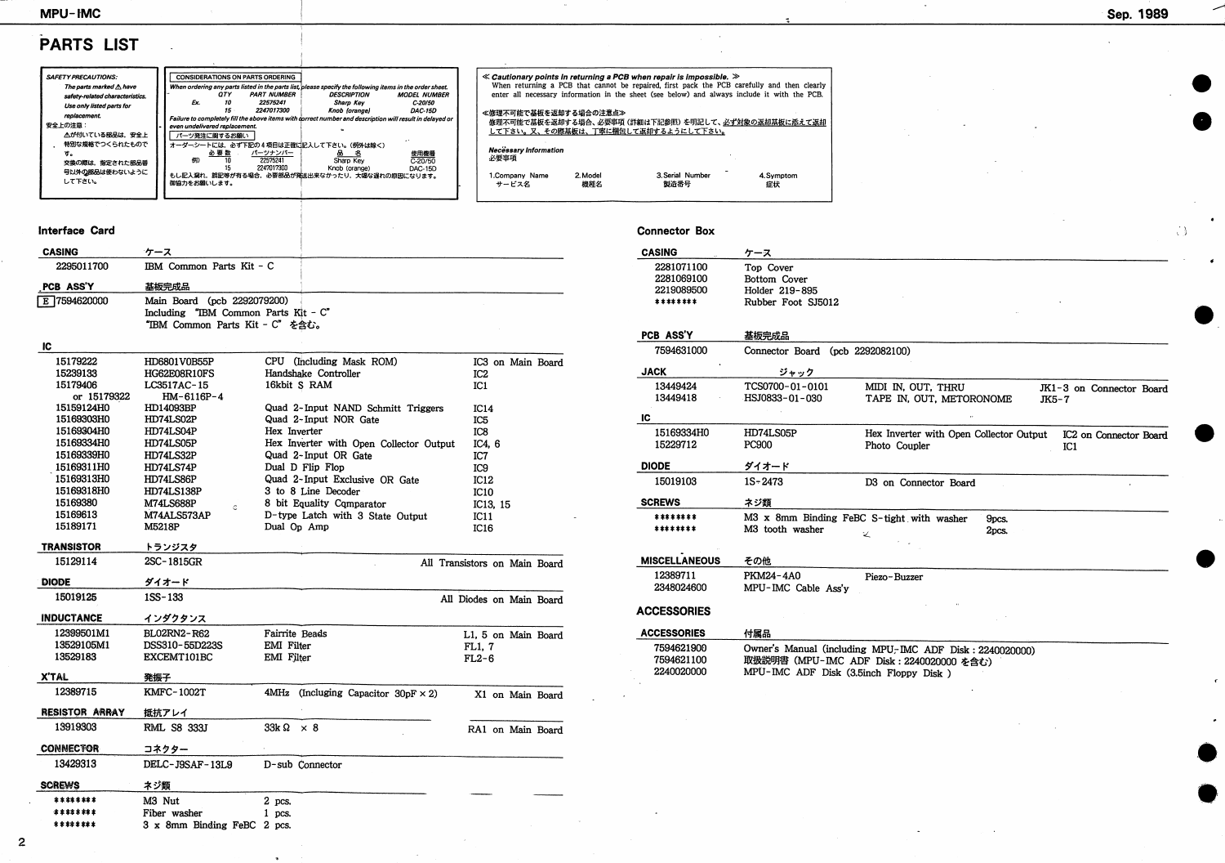# MPU-IMC

# PARTS LIST

| <b>SAFETY PRECAUTIONS:</b>        |                               |        | <b>CONSIDERATIONS ON PARTS ORDERING</b> |                                                                                                          |                     |
|-----------------------------------|-------------------------------|--------|-----------------------------------------|----------------------------------------------------------------------------------------------------------|---------------------|
| The parts marked $\triangle$ have |                               |        |                                         | When ordering any parts listed in the parts list, please specify the following items in the order sheet. |                     |
| safety-related characteristics.   |                               | 0TY    | <b>PART NUMBER</b>                      | <i><b>DESCRIPTION</b></i>                                                                                | <b>MODEL NUMBER</b> |
| Use only listed parts for         | Ex.                           | 10     | 22575241                                | Sharp Key                                                                                                | C-20/50             |
|                                   |                               | $15 -$ | 2247017300                              | Knob (orange)                                                                                            | <b>DAC-15D</b>      |
| replacement.                      |                               |        |                                         | Failure to completely fill the above items with correct number and description will result in delayed or |                     |
| 安全上の注意:                           | even undelivered replacement. |        |                                         |                                                                                                          |                     |
| △が付いている部品は、安全上                    | パーツ発注に関するお願い                  |        |                                         |                                                                                                          |                     |
| 特別な規格でつくられたもので                    |                               |        |                                         | オーダーシートには、必ず下記の4項目は正確に記入して下さい。(例外は除く)                                                                    |                     |
| τ.                                |                               | 必要数    | パーツナンバー                                 | -8                                                                                                       | 使用機種                |
| 交換の際は、指定された部品番                    | 例)                            |        | 22575241                                | Sharp Key                                                                                                | $C-20/50$           |
|                                   |                               | 15     | 2247017300                              | Knob (orange)                                                                                            | DAC-15D             |
| 号以外の部品は使わないように                    |                               |        |                                         | もし記入漏れ、誤記等が有る場合、必要部品が発送出来なかったり、大幅な遅れの原因になります。                                                            |                     |
| して下さい。                            |                               |        |                                         |                                                                                                          |                     |
|                                   | 御協力をお願いします。                   |        |                                         |                                                                                                          |                     |
|                                   |                               |        |                                         |                                                                                                          |                     |
|                                   |                               |        |                                         |                                                                                                          |                     |

### Interface Card

| <b>CASING</b>         | ケース                                         |                                            |                               |
|-----------------------|---------------------------------------------|--------------------------------------------|-------------------------------|
| 2295011700            | IBM Common Parts Kit - C                    |                                            |                               |
| PCB ASS'Y             | 基板完成品                                       |                                            |                               |
| E 7594620000          | Main Board (pcb 2292079200)                 |                                            |                               |
|                       | Including "IBM Common Parts Kit - C"        |                                            |                               |
|                       | "IBM Common Parts Kit - C" を含む。             |                                            |                               |
| IC                    |                                             |                                            |                               |
| 15179222              | HD6801V0B55P                                | CPU (Including Mask ROM)                   | IC3 on Main Board             |
| 15239133              | HG62E08R10FS                                | Handshake Controller                       | IC <sub>2</sub>               |
| 15179406              | LC3517AC-15                                 | 16kbit \$ RAM                              | IC <sub>1</sub>               |
| or 15179322           | $HM-6116P-4$                                |                                            |                               |
| 15159124H0            | HD14093BP                                   | Quad 2-Input NAND Schmitt Triggers         | IC14                          |
| 15169303H0            | HD74LS02P                                   | Quad 2-Input NOR Gate                      | IC <sub>5</sub>               |
| 15169304H0            | HD74LS04P                                   | Hex Inverter                               | IC <sub>8</sub>               |
| 15169334H0            | HD74LS05P                                   | Hex Inverter with Open Collector Output    | IC4, 6                        |
| 15169339H0            | HD74LS32P                                   | Quad 2-Input OR Gate                       | IC7                           |
| 15169311H0            | HD74LS74P                                   | Dual D Flip Flop                           | IC <sub>9</sub>               |
| 15169313H0            | HD74LS86P                                   | Quad 2-Input Exclusive OR Gate             | IC12                          |
| 15169318H0            | HD74LS138P                                  | 3 to 8 Line Decoder                        | <b>IC10</b>                   |
| 15169380              | <b>M74LS688P</b>                            | 8 bit Equality Comparator                  | IC13, 15                      |
| 15169613              | Ċ.<br>M74ALS573AP                           | D-type Latch with 3 State Output           | IC11                          |
| 15189171              | M5218P                                      | Dual Op Amp                                | <b>IC16</b>                   |
|                       |                                             |                                            |                               |
| <b>TRANSISTOR</b>     | トランジスタ                                      |                                            |                               |
| 15129114              | 2SC-1815GR                                  |                                            | All Transistors on Main Board |
| <b>DIODE</b>          | ダイオード                                       |                                            |                               |
| 15019125              | $1SS-133$                                   |                                            | All Diodes on Main Board      |
| <b>INDUCTANCE</b>     | インダクタンス                                     |                                            |                               |
| 12399501M1            | <b>BL02RN2-R62</b>                          | Fairrite Beads                             | L1, 5 on Main Board           |
| 13529105M1            | DSS310-55D223S                              | EMI Filter                                 | FL1, 7                        |
| 13529183              | EXCEMT101BC                                 | EMI Filter                                 | $FL2-6$                       |
| <b>X'TAL</b>          | 発振子                                         |                                            |                               |
| 12389715              |                                             |                                            |                               |
|                       | <b>KMFC-1002T</b>                           | 4MHz (Incluging Capacitor 30pF $\times$ 2) | X1 on Main Board              |
| <b>RESISTOR ARRAY</b> | 抵抗アレイ                                       |                                            |                               |
| 13919303              | <b>RML S8 333J</b>                          | $33k\Omega$<br>$\times$ 8                  | RA1 on Main Board             |
| <b>CONNECTOR</b>      | コネクター                                       |                                            |                               |
| 13429313              | DELC-J9SAF-13L9                             | D-sub Connector                            |                               |
| <b>SCREWS</b>         | ネジ類                                         |                                            |                               |
| *******               | M3 Nut                                      |                                            |                               |
| ********              |                                             | $2$ pcs.                                   |                               |
| ********              | Fiber washer<br>3 x 8mm Binding FeBC 2 pcs. | $1$ pcs.                                   |                               |
|                       |                                             |                                            |                               |

|                                      |                 | $\ll$ Cautionary points in returning a PCB when repair is impossible. $\gg$ | When returning a PCB that cannot be repaired, first pack the PCB carefully and then clearly<br>enter all necessary information in the sheet (see below) and always include it with the PCB. |  |
|--------------------------------------|-----------------|-----------------------------------------------------------------------------|---------------------------------------------------------------------------------------------------------------------------------------------------------------------------------------------|--|
| ≪修理不可能で基板を返却する場合の注意点≫                |                 | して下さい。又、その際基板は、丁寧に梱包して返却するようにして下さい。                                         | 修理不可能で基板を返却する場合、必要事項 (詳細は下記参照) を明記して、必ず対象の返却基板に添えて返却                                                                                                                                        |  |
| <b>Necessary Information</b><br>必要事項 |                 |                                                                             |                                                                                                                                                                                             |  |
| 1.Company Name<br>サービス名              | 2. Model<br>機能欠 | 3. Serial Number<br>倒冶系号                                                    | 4. Symptom<br>症状                                                                                                                                                                            |  |

## **Connector Box**

| <b>CASING</b>        | ケース                                         |                         |
|----------------------|---------------------------------------------|-------------------------|
| 2281071100           | Top Cover                                   |                         |
| 2281069100           | Bottom Cover                                |                         |
| 2219089500           | Holder 219-895                              |                         |
| ********             | Rubber Foot SJ5012                          |                         |
|                      |                                             |                         |
| PCB ASS'Y            | 基板完成品                                       |                         |
| 7594631000           | Connector Board (pcb 2292082100)            |                         |
| <b>JACK</b>          | ジャック                                        |                         |
| 13449424             | TCS0700-01-0101                             | MIDI IN, OU             |
| 13449418             | HSJ0833-01-030                              | TAPE IN, OU             |
| IC                   |                                             |                         |
| 15169334H0           | HD74LS05P                                   | Hex Inverter            |
| 15229712             | <b>PC900</b>                                | Photo Couple            |
| <b>DIODE</b>         | ダイオード                                       |                         |
| 15019103             | $1S - 2473$                                 | D <sub>3</sub> on Conne |
| <b>SCREWS</b>        | ネジ類                                         |                         |
| ********             | M3 x 8mm Binding FeBC S-tight wit           |                         |
| ********             | M3 tooth washer                             | ۷                       |
|                      |                                             |                         |
| <b>MISCELLANEOUS</b> | その他                                         |                         |
| 12389711             | PKM24-4A0                                   | Piezo-Buzzer            |
| 2348024600           | MPU-IMC Cable Ass'v                         |                         |
| <b>ACCESSORIES</b>   |                                             |                         |
|                      |                                             |                         |
| <b>ACCESSORIES</b>   | 付属品                                         |                         |
| 7594621900           | Owner's Manual (including $MPU \subset TMC$ |                         |
| 7594621100           | 取扱説明書 (MPU-IMC ADF Disk: 2240               |                         |
| 2240020000           | MPU-IMC ADF Disk (3.5inch Floppy)           |                         |
|                      |                                             |                         |

|                                       |       |                          | Sep. 1989 |                   |
|---------------------------------------|-------|--------------------------|-----------|-------------------|
|                                       |       |                          |           |                   |
|                                       |       |                          |           |                   |
|                                       |       |                          |           |                   |
|                                       |       |                          |           |                   |
|                                       |       |                          |           |                   |
|                                       |       |                          |           |                   |
|                                       |       |                          |           |                   |
|                                       |       |                          |           |                   |
|                                       |       |                          |           |                   |
|                                       |       |                          |           | $\langle \rangle$ |
|                                       |       |                          |           |                   |
|                                       |       |                          |           |                   |
|                                       |       |                          |           |                   |
|                                       |       |                          |           |                   |
|                                       |       |                          |           |                   |
|                                       |       |                          |           |                   |
| T, THRU<br>UT, METORONOME             | JK5-7 | JK1-3 on Connector Board |           |                   |
|                                       |       |                          |           |                   |
| er                                    | IC1   |                          |           |                   |
| ector Board                           |       |                          |           |                   |
|                                       |       |                          |           |                   |
| th washer<br><b>9pcs.</b><br>2pcs.    |       |                          |           |                   |
|                                       |       |                          |           |                   |
|                                       |       |                          |           |                   |
|                                       |       |                          |           |                   |
|                                       |       |                          |           |                   |
|                                       |       |                          |           |                   |
| ADF Disk: 2240020000)<br>0020000 を含む) |       |                          |           |                   |

 $\epsilon$ 

Disk )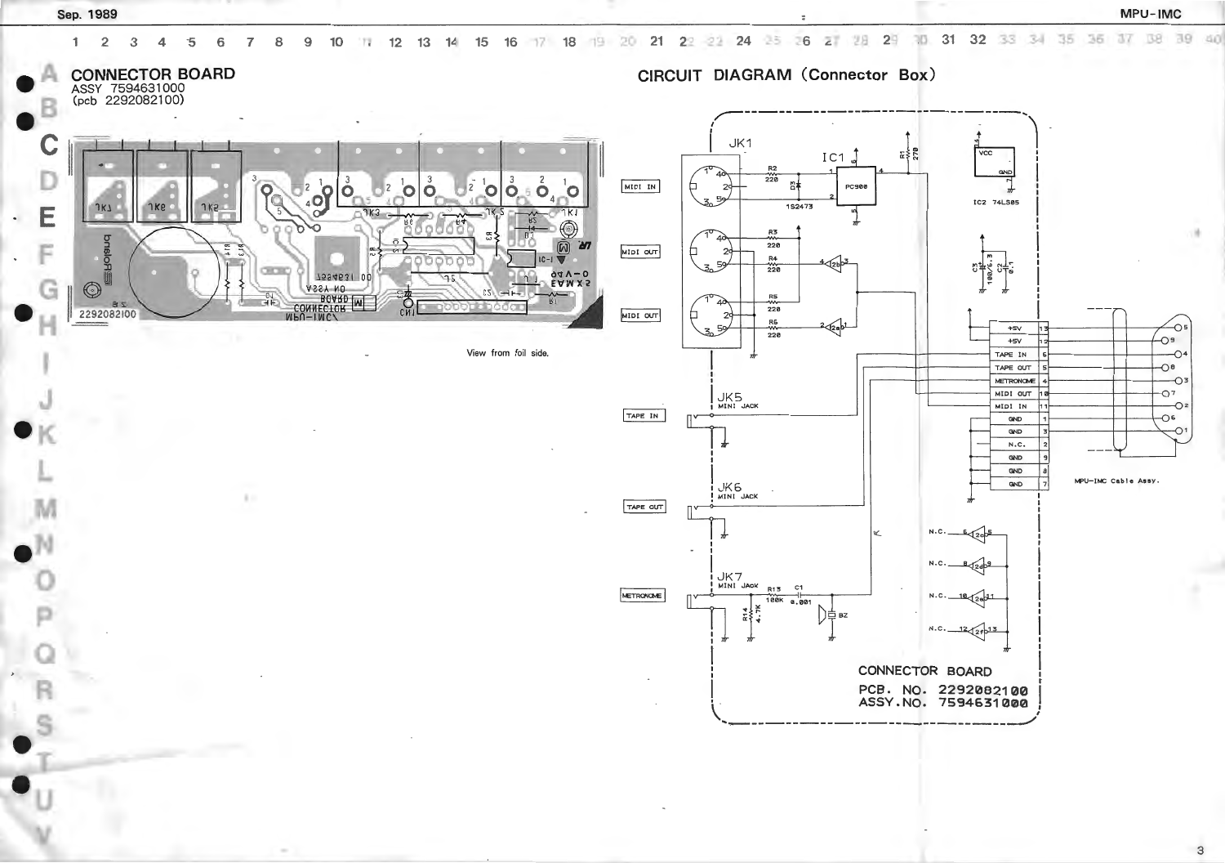![](_page_2_Figure_0.jpeg)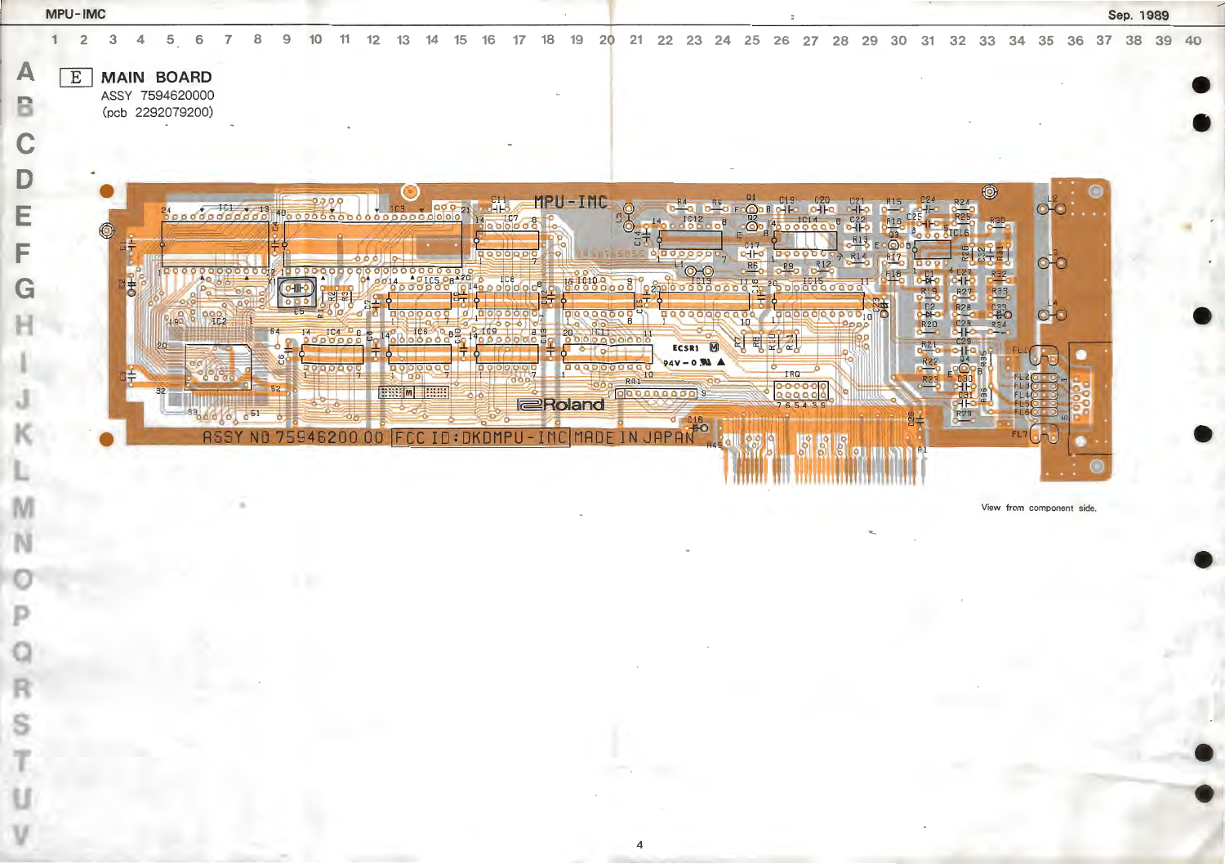|        | MPU-IMC |        |           |                                                          |            |          |       |         |     |                           |                                  |            |             |                                                    |         |          |                                    |                              |                 |                                                |                                                                                                                                                                                                                                                                                                                                                                                                                      |                                      |                                                                                                              |                                                          |                           |       |    |                           | Sep. 1989 |  |
|--------|---------|--------|-----------|----------------------------------------------------------|------------|----------|-------|---------|-----|---------------------------|----------------------------------|------------|-------------|----------------------------------------------------|---------|----------|------------------------------------|------------------------------|-----------------|------------------------------------------------|----------------------------------------------------------------------------------------------------------------------------------------------------------------------------------------------------------------------------------------------------------------------------------------------------------------------------------------------------------------------------------------------------------------------|--------------------------------------|--------------------------------------------------------------------------------------------------------------|----------------------------------------------------------|---------------------------|-------|----|---------------------------|-----------|--|
| A      | 2<br>E  |        |           | <b>MAIN BOARD</b><br>ASSY 7594620000<br>(pcb 2292079200) |            |          |       |         |     |                           |                                  |            |             |                                                    |         |          |                                    |                              |                 |                                                |                                                                                                                                                                                                                                                                                                                                                                                                                      |                                      |                                                                                                              |                                                          |                           |       | 35 |                           |           |  |
| D<br>E |         |        |           |                                                          |            |          |       |         |     |                           |                                  | $000 - 21$ | <b>in</b> - | $\frac{14}{9}$ a b $\frac{107}{9}$ o $\frac{8}{9}$ |         | MPU-IMC  |                                    | $-10800$                     |                 | <mark>@</mark> ¤¤များ<br>စီး <sup>14</sup> းစစ | 10000000                                                                                                                                                                                                                                                                                                                                                                                                             |                                      |                                                                                                              |                                                          | $\circledcirc$            |       |    |                           |           |  |
| G      |         | 0<br>병 |           | $0 0 0 0 0 0 0 0 0 0 0 0 0$                              |            |          | 00000 |         | 000 | $\frac{90000000000}{914}$ |                                  |            |             | $\begin{array}{c}\n1000000^8\n\end{array}$         |         |          | $\overline{a}$                     | adaaba                       | $\frac{1}{100}$ |                                                | $\begin{array}{ c c c }\n\hline\n\multicolumn{1}{ c }{\textbf{0.0000}} \\ \hline\n\multicolumn{1}{ c }{\textbf{0.0000}} \\ \hline\n\multicolumn{1}{ c }{\textbf{0.000}} \\ \hline\n\multicolumn{1}{ c }{\textbf{0.000}} \\ \hline\n\multicolumn{1}{ c }{\textbf{0.000}} \\ \hline\n\multicolumn{1}{ c }{\textbf{0.000}} \\ \hline\n\multicolumn{1}{ c }{\textbf{0.000}} \\ \hline\n\multicolumn{1}{ c }{\textbf{0.0$ |                                      |                                                                                                              |                                                          |                           |       |    |                           |           |  |
|        |         |        | <b>SD</b> | 2190                                                     | 0000       | 64<br>55 |       | 0000000 |     |                           | 000000                           |            |             |                                                    |         | 00000000 |                                    | 00000000<br>ECSR1 M          |                 | 필리티                                            | 0000000000010                                                                                                                                                                                                                                                                                                                                                                                                        |                                      | $\left(\frac{1}{100}\right)^{100}$ $\left(\frac{100}{100}\right)^{100}$ $\left(\frac{100}{100}\right)^{100}$ | R27<br>R28<br>C28<br>C28<br>C28                          | R33<br>C33<br>R34<br>R34  |       |    |                           |           |  |
|        |         |        |           |                                                          |            |          |       |         |     | <b>NEW</b>                | <b>DOIOIO O O</b><br><b>TABE</b> |            |             | 0000                                               | eRoland |          | Pagpoorage RAY-01                  | $94V - 0$ M<br>$rac{18}{10}$ |                 | IRQ                                            | 0000000<br>765439                                                                                                                                                                                                                                                                                                                                                                                                    |                                      |                                                                                                              | <u>оО</u><br>$\frac{130}{c31}$<br>$\frac{1}{\sqrt{1+2}}$ |                           |       |    |                           |           |  |
|        |         |        |           |                                                          | <b>ASS</b> |          |       | conn    |     |                           |                                  |            |             |                                                    |         |          | FCC ID: DKDMPU - IMC MADE IN JAPAN |                              |                 |                                                |                                                                                                                                                                                                                                                                                                                                                                                                                      | <b>THE REAL PROPERTY OF STATE OF</b> |                                                                                                              |                                                          |                           | FL7 P |    | $\mathbf{A}=\mathbf{A}$ . |           |  |
|        |         |        |           |                                                          |            |          |       |         |     |                           |                                  |            |             |                                                    |         |          |                                    |                              |                 |                                                |                                                                                                                                                                                                                                                                                                                                                                                                                      |                                      |                                                                                                              |                                                          | View from component side. |       |    |                           |           |  |
|        |         |        |           |                                                          |            |          |       |         |     |                           |                                  |            |             |                                                    |         |          |                                    |                              |                 |                                                |                                                                                                                                                                                                                                                                                                                                                                                                                      |                                      |                                                                                                              |                                                          |                           |       |    |                           |           |  |
|        |         |        |           |                                                          |            |          |       |         |     |                           |                                  |            |             |                                                    |         |          |                                    |                              |                 |                                                |                                                                                                                                                                                                                                                                                                                                                                                                                      |                                      |                                                                                                              |                                                          |                           |       |    |                           |           |  |
|        |         |        |           |                                                          |            |          |       |         |     |                           |                                  |            |             |                                                    |         |          |                                    |                              |                 |                                                |                                                                                                                                                                                                                                                                                                                                                                                                                      |                                      |                                                                                                              |                                                          |                           |       |    |                           |           |  |
|        |         |        |           |                                                          |            |          |       |         |     |                           |                                  |            |             |                                                    |         |          | $\sim 10^{-1}$                     |                              |                 |                                                |                                                                                                                                                                                                                                                                                                                                                                                                                      |                                      |                                                                                                              |                                                          |                           |       |    |                           |           |  |
|        |         |        |           |                                                          |            |          |       |         |     |                           |                                  |            |             |                                                    |         |          |                                    |                              |                 |                                                |                                                                                                                                                                                                                                                                                                                                                                                                                      |                                      |                                                                                                              |                                                          |                           |       |    |                           |           |  |

![](_page_3_Picture_1.jpeg)